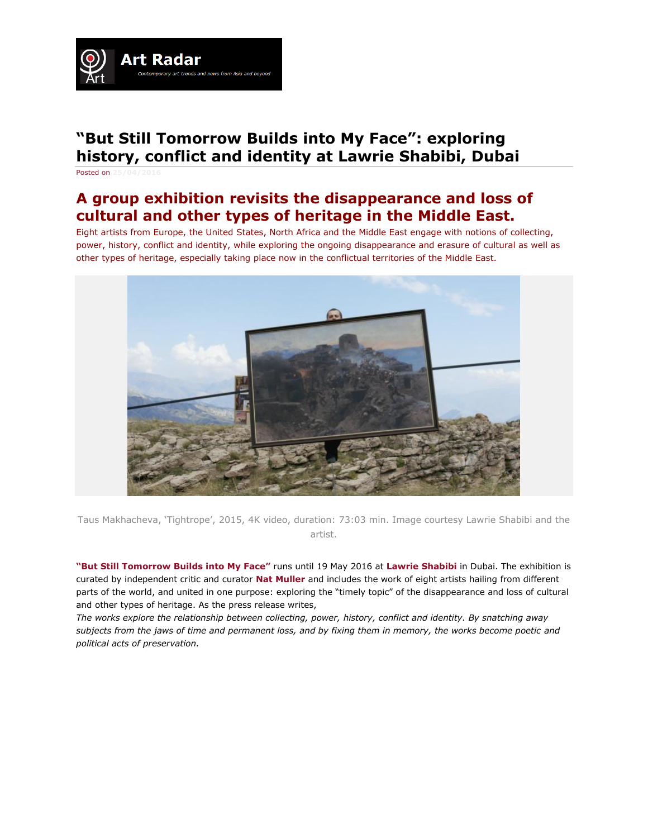

# **"But Still Tomorrow Builds into My Face": exploring history, conflict and identity at Lawrie Shabibi, Dubai**

Posted on  $25/04/2$ 

# **A group exhibition revisits the disappearance and loss of cultural and other types of heritage in the Middle East.**

Eight artists from Europe, the United States, North Africa and the Middle East engage with notions of collecting, power, history, conflict and identity, while exploring the ongoing disappearance and erasure of cultural as well as other types of heritage, especially taking place now in the conflictual territories of the Middle East.



Taus Makhacheva, 'Tightrope', 2015, 4K video, duration: 73:03 min. Image courtesy Lawrie Shabibi and the artist.

**"But Still [Tomorrow](http://www.lawrieshabibi.com/exhibitions/46/overview/) Builds into My Face"** runs until 19 May 2016 at **Lawrie [Shabibi](http://artradarjournal.com/tag/lawrie-shabibi/)** in Dubai. The exhibition is curated by independent critic and curator **Nat [Muller](http://artradarjournal.com/tag/nat-muller/)** and includes the work of eight artists hailing from different parts of the world, and united in one purpose: exploring the "timely topic" of the disappearance and loss of cultural and other types of heritage. As the press release writes,

*The works explore the relationship between collecting, power, history, conflict and identity. By snatching away subjects from the jaws of time and permanent loss, and by fixing them in memory, the works become poetic and political acts of preservation.*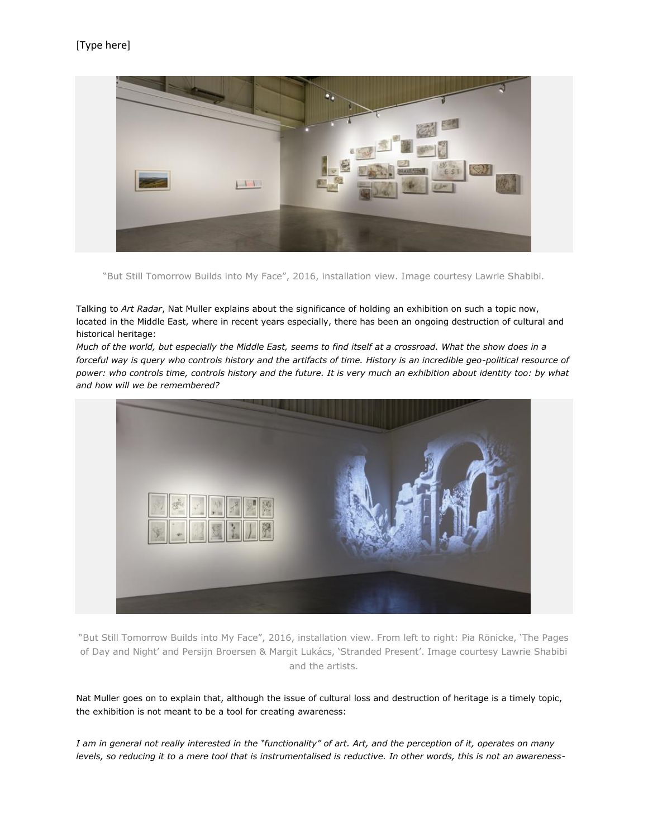

"But Still Tomorrow Builds into My Face", 2016, installation view. Image courtesy Lawrie Shabibi.

Talking to *Art Radar*, Nat Muller explains about the significance of holding an exhibition on such a topic now, located in the Middle East, where in recent years especially, there has been an ongoing destruction of cultural and historical heritage:

*Much of the world, but especially the Middle East, seems to find itself at a crossroad. What the show does in a*  forceful way is query who controls history and the artifacts of time. History is an incredible geo-political resource of *power: who controls time, controls history and the future. It is very much an exhibition about identity too: by what and how will we be remembered?*



"But Still Tomorrow Builds into My Face", 2016, installation view. From left to right: Pia Rönicke, 'The Pages of Day and Night' and Persijn Broersen & Margit Lukács, 'Stranded Present'. Image courtesy Lawrie Shabibi and the artists.

Nat Muller goes on to explain that, although the issue of cultural loss and destruction of heritage is a timely topic, the exhibition is not meant to be a tool for creating awareness:

*I am in general not really interested in the "functionality" of art. Art, and the perception of it, operates on many levels, so reducing it to a mere tool that is instrumentalised is reductive. In other words, this is not an awareness-*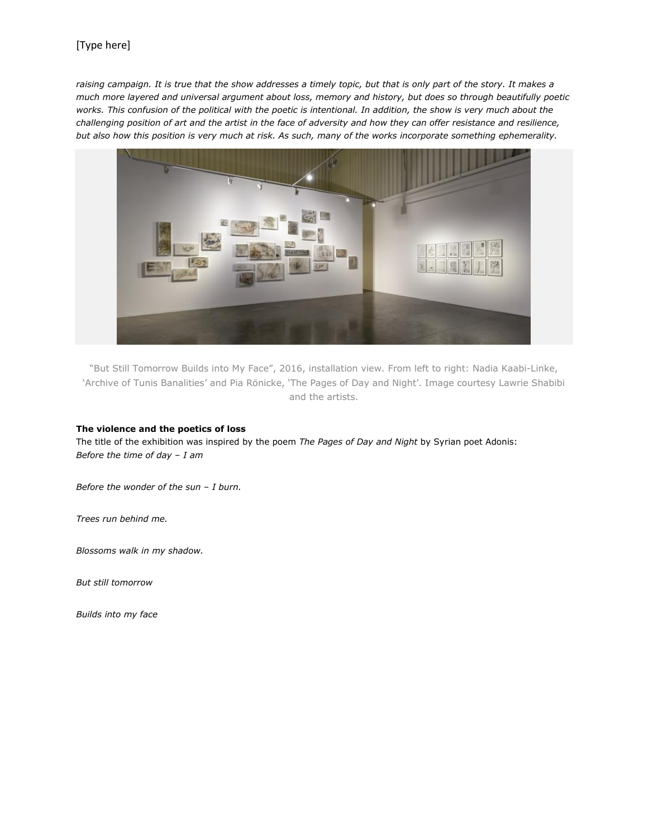# [Type here]

raising campaign. It is true that the show addresses a timely topic, but that is only part of the story. It makes a *much more layered and universal argument about loss, memory and history, but does so through beautifully poetic works. This confusion of the political with the poetic is intentional. In addition, the show is very much about the challenging position of art and the artist in the face of adversity and how they can offer resistance and resilience, but also how this position is very much at risk. As such, many of the works incorporate something ephemerality.*



"But Still Tomorrow Builds into My Face", 2016, installation view. From left to right: Nadia Kaabi-Linke, 'Archive of Tunis Banalities' and Pia Rönicke, 'The Pages of Day and Night'. Image courtesy Lawrie Shabibi and the artists.

#### **The violence and the poetics of loss**

The title of the exhibition was inspired by the poem *The Pages of Day and Night* by Syrian poet Adonis: *Before the time of day – I am*

*Before the wonder of the sun – I burn.*

*Trees run behind me.*

*Blossoms walk in my shadow.*

*But still tomorrow*

*Builds into my face*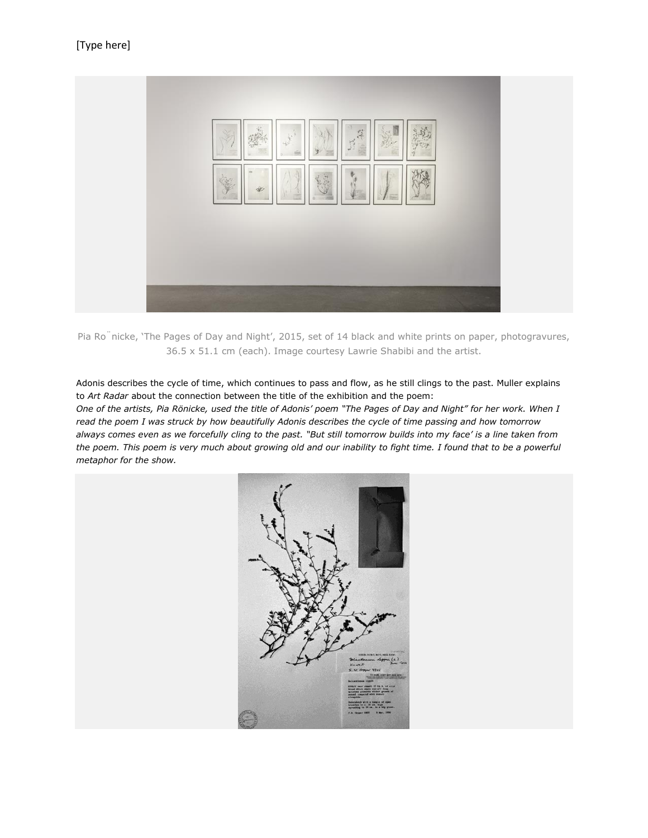

Pia Ro<sup>"</sup>nicke, 'The Pages of Day and Night', 2015, set of 14 black and white prints on paper, photogravures, 36.5 x 51.1 cm (each). Image courtesy Lawrie Shabibi and the artist.

Adonis describes the cycle of time, which continues to pass and flow, as he still clings to the past. Muller explains to *Art Radar* about the connection between the title of the exhibition and the poem:

*One of the artists, Pia Rönicke, used the title of Adonis' poem "The Pages of Day and Night" for her work. When I read the poem I was struck by how beautifully Adonis describes the cycle of time passing and how tomorrow always comes even as we forcefully cling to the past. "But still tomorrow builds into my face' is a line taken from the poem. This poem is very much about growing old and our inability to fight time. I found that to be a powerful metaphor for the show.*

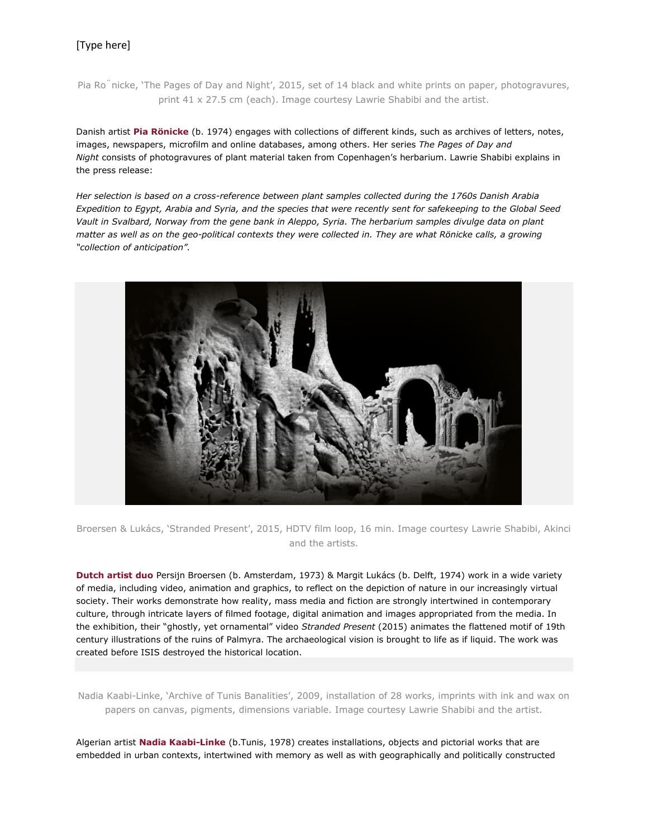# [Type here]

Pia Ro<sup>n</sup>nicke, 'The Pages of Day and Night', 2015, set of 14 black and white prints on paper, photogravures, print 41 x 27.5 cm (each). Image courtesy Lawrie Shabibi and the artist.

Danish artist **Pia [Rönicke](http://www.contemporaryartscenter.org/artists/pia-ro...)** (b. 1974) engages with collections of different kinds, such as archives of letters, notes, images, newspapers, microfilm and online databases, among others. Her series *The Pages of Day and Night* consists of photogravures of plant material taken from Copenhagen's herbarium. Lawrie Shabibi explains in the press release:

*Her selection is based on a cross-reference between plant samples collected during the 1760s Danish Arabia Expedition to Egypt, Arabia and Syria, and the species that were recently sent for safekeeping to the Global Seed Vault in Svalbard, Norway from the gene bank in Aleppo, Syria. The herbarium samples divulge data on plant matter as well as on the geo-political contexts they were collected in. They are what Rönicke calls, a growing "collection of anticipation".*



Broersen & Lukács, 'Stranded Present', 2015, HDTV film loop, 16 min. Image courtesy Lawrie Shabibi, Akinci and the artists.

**[Dutch](http://www.pmpmpm.com/) artist duo** Persijn Broersen (b. Amsterdam, 1973) & Margit Lukács (b. Delft, 1974) work in a wide variety of media, including video, animation and graphics, to reflect on the depiction of nature in our increasingly virtual society. Their works demonstrate how reality, mass media and fiction are strongly intertwined in contemporary culture, through intricate layers of filmed footage, digital animation and images appropriated from the media. In the exhibition, their "ghostly, yet ornamental" video *Stranded Present* (2015) animates the flattened motif of 19th century illustrations of the ruins of Palmyra. The archaeological vision is brought to life as if liquid. The work was created before ISIS destroyed the historical location.

Nadia Kaabi-Linke, 'Archive of Tunis Banalities', 2009, installation of 28 works, imprints with ink and wax on papers on canvas, pigments, dimensions variable. Image courtesy Lawrie Shabibi and the artist.

Algerian artist **Nadia [Kaabi-Linke](http://artradarjournal.com/backup/tag/nadia-kaabi-linke/)** (b.Tunis, 1978) creates installations, objects and pictorial works that are embedded in urban contexts, intertwined with memory as well as with geographically and politically constructed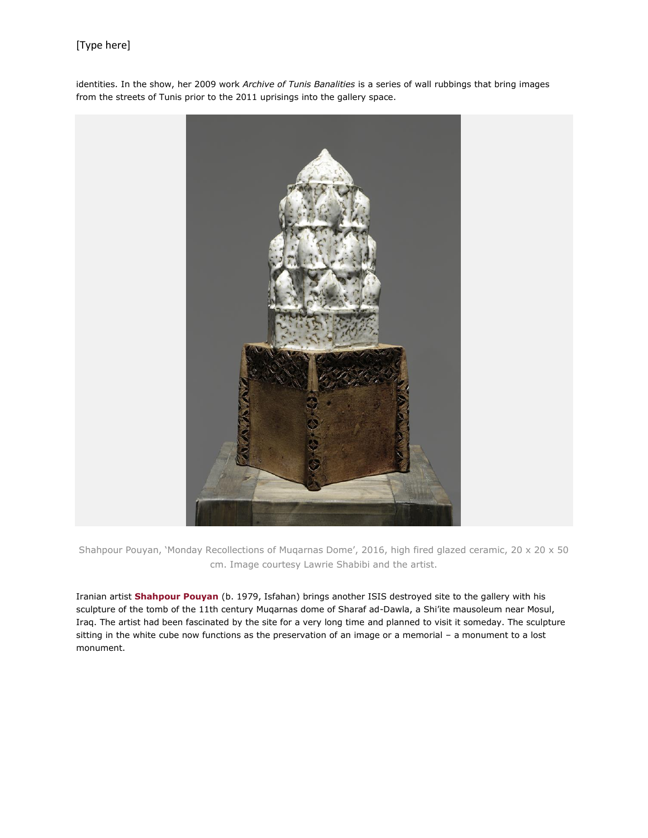# [Type here]

identities. In the show, her 2009 work *Archive of Tunis Banalities* is a series of wall rubbings that bring images from the streets of Tunis prior to the 2011 uprisings into the gallery space.



Shahpour Pouyan, 'Monday Recollections of Muqarnas Dome', 2016, high fired glazed ceramic, 20 x 20 x 50 cm. Image courtesy Lawrie Shabibi and the artist.

Iranian artist **[Shahpour](http://artradarjournal.com/tag/shahpour-pouyan/) Pouyan** (b. 1979, Isfahan) brings another ISIS destroyed site to the gallery with his sculpture of the tomb of the 11th century Muqarnas dome of Sharaf ad-Dawla, a Shi'ite mausoleum near Mosul, Iraq. The artist had been fascinated by the site for a very long time and planned to visit it someday. The sculpture sitting in the white cube now functions as the preservation of an image or a memorial – a monument to a lost monument.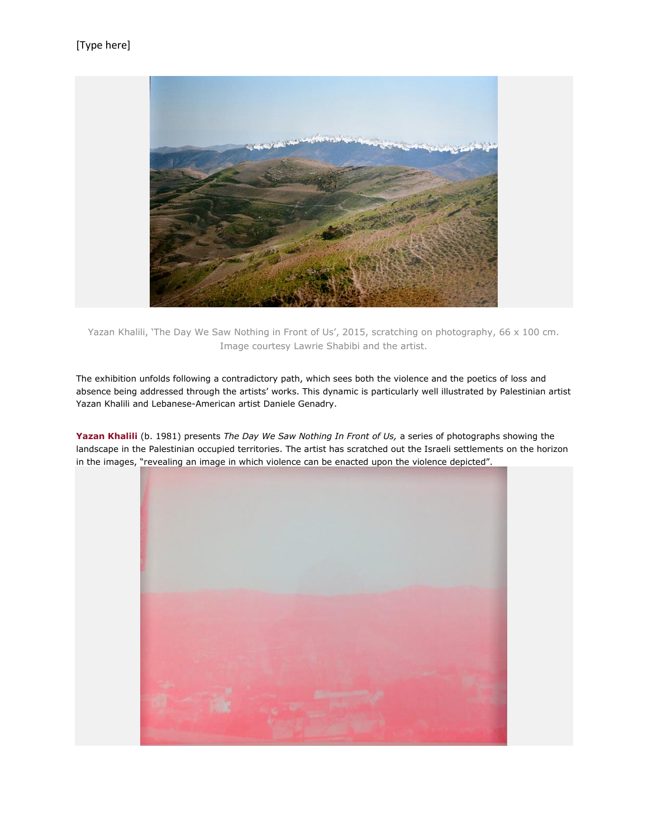

Yazan Khalili, 'The Day We Saw Nothing in Front of Us', 2015, scratching on photography, 66 x 100 cm. Image courtesy Lawrie Shabibi and the artist.

The exhibition unfolds following a contradictory path, which sees both the violence and the poetics of loss and absence being addressed through the artists' works. This dynamic is particularly well illustrated by Palestinian artist Yazan Khalili and Lebanese-American artist Daniele Genadry.

**Yazan [Khalili](http://artradarjournal.com/tag/yazan-khalili/)** (b. 1981) presents *The Day We Saw Nothing In Front of Us,* a series of photographs showing the landscape in the Palestinian occupied territories. The artist has scratched out the Israeli settlements on the horizon in the images, "revealing an image in which violence can be enacted upon the violence depicted".

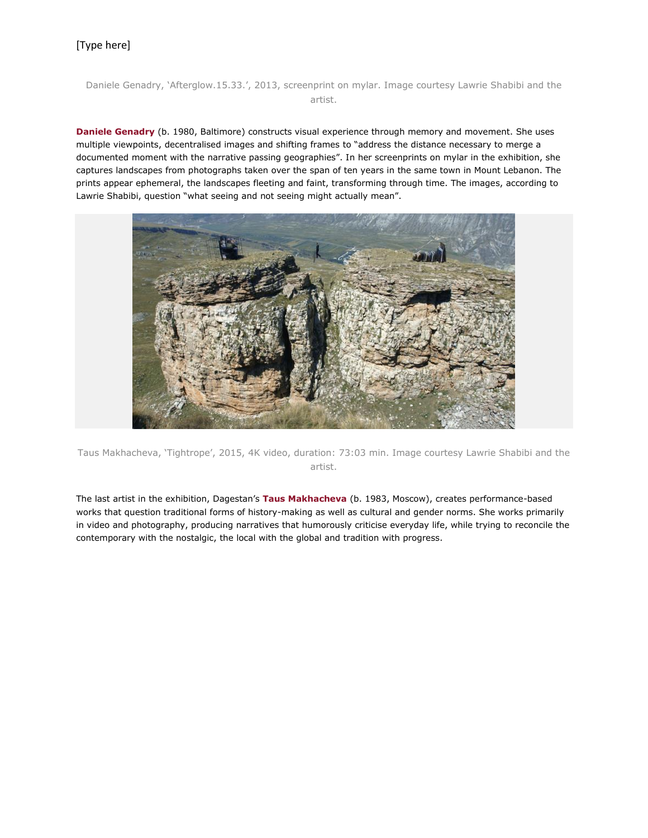### Daniele Genadry, 'Afterglow.15.33.', 2013, screenprint on mylar. Image courtesy Lawrie Shabibi and the artist.

**Daniele [Genadry](http://www.danielegenadry.com/)** (b. 1980, Baltimore) constructs visual experience through memory and movement. She uses multiple viewpoints, decentralised images and shifting frames to "address the distance necessary to merge a documented moment with the narrative passing geographies". In her screenprints on mylar in the exhibition, she captures landscapes from photographs taken over the span of ten years in the same town in Mount Lebanon. The prints appear ephemeral, the landscapes fleeting and faint, transforming through time. The images, according to Lawrie Shabibi, question "what seeing and not seeing might actually mean".



Taus Makhacheva, 'Tightrope', 2015, 4K video, duration: 73:03 min. Image courtesy Lawrie Shabibi and the artist.

The last artist in the exhibition, Dagestan's **Taus [Makhacheva](http://artradarjournal.com/tag/taus-makhacheva/)** (b. 1983, Moscow), creates performance-based works that question traditional forms of history-making as well as cultural and gender norms. She works primarily in video and photography, producing narratives that humorously criticise everyday life, while trying to reconcile the contemporary with the nostalgic, the local with the global and tradition with progress.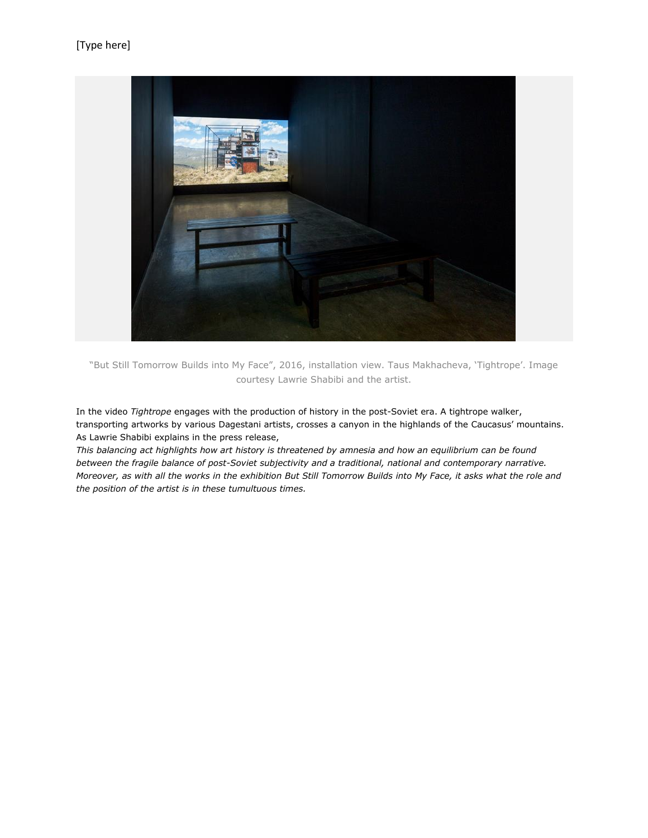

"But Still Tomorrow Builds into My Face", 2016, installation view. Taus Makhacheva, 'Tightrope'. Image courtesy Lawrie Shabibi and the artist.

In the video *Tightrope* engages with the production of history in the post-Soviet era. A tightrope walker, transporting artworks by various Dagestani artists, crosses a canyon in the highlands of the Caucasus' mountains. As Lawrie Shabibi explains in the press release,

*This balancing act highlights how art history is threatened by amnesia and how an equilibrium can be found between the fragile balance of post-Soviet subjectivity and a traditional, national and contemporary narrative. Moreover, as with all the works in the exhibition But Still Tomorrow Builds into My Face, it asks what the role and the position of the artist is in these tumultuous times.*